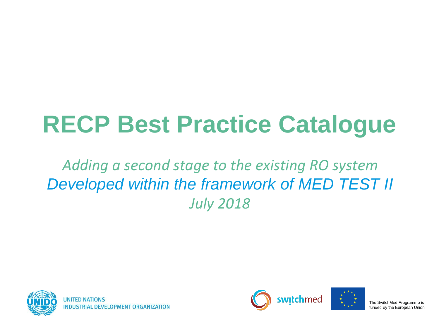# **RECP Best Practice Catalogue**

#### *Adding a second stage to the existing RO system Developed within the framework of MED TEST II July 2018*





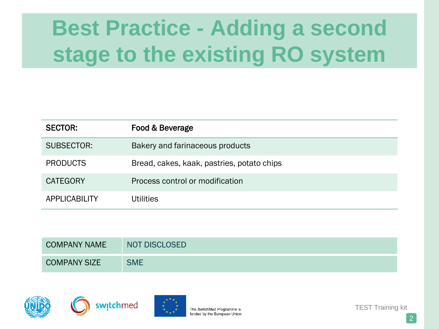| <b>SECTOR:</b>  | Food & Beverage                            |
|-----------------|--------------------------------------------|
| SUBSECTOR:      | Bakery and farinaceous products            |
| <b>PRODUCTS</b> | Bread, cakes, kaak, pastries, potato chips |
| <b>CATEGORY</b> | Process control or modification            |
| APPLICABILITY   | Utilities                                  |

| <b>COMPANY NAME</b> | <b>NOT DISCLOSED</b> |
|---------------------|----------------------|
| <b>COMPANY SIZE</b> | <b>SME</b>           |







TEST Training kit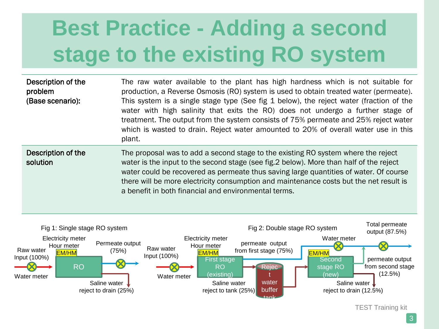| Description of the<br>problem<br>(Base scenario): | The raw water available to the plant has high hardness which is not suitable for<br>production, a Reverse Osmosis (RO) system is used to obtain treated water (permeate).<br>This system is a single stage type (See fig 1 below), the reject water (fraction of the<br>water with high salinity that exits the RO) does not undergo a further stage of<br>treatment. The output from the system consists of 75% permeate and 25% reject water<br>which is wasted to drain. Reject water amounted to 20% of overall water use in this<br>plant. |
|---------------------------------------------------|-------------------------------------------------------------------------------------------------------------------------------------------------------------------------------------------------------------------------------------------------------------------------------------------------------------------------------------------------------------------------------------------------------------------------------------------------------------------------------------------------------------------------------------------------|
| Description of the<br>solution                    | The proposal was to add a second stage to the existing RO system where the reject<br>water is the input to the second stage (see fig. 2 below). More than half of the reject<br>water could be recovered as permeate thus saving large quantities of water. Of course<br>there will be more electricity consumption and maintenance costs but the net result is<br>a benefit in both financial and environmental terms.                                                                                                                         |



TEST Training kit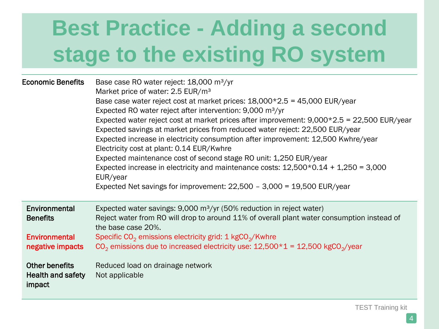| <b>Economic Benefits</b>                                                     | Base case RO water reject: 18,000 m <sup>3</sup> /yr<br>Market price of water: 2.5 EUR/m <sup>3</sup><br>Base case water reject cost at market prices: $18,000*2.5 = 45,000$ EUR/year<br>Expected RO water reject after intervention: 9,000 m <sup>3</sup> /yr<br>Expected water reject cost at market prices after improvement: $9,000*2.5 = 22,500$ EUR/year<br>Expected savings at market prices from reduced water reject: 22,500 EUR/year<br>Expected increase in electricity consumption after improvement: 12,500 Kwhre/year<br>Electricity cost at plant: 0.14 EUR/Kwhre<br>Expected maintenance cost of second stage RO unit: 1,250 EUR/year<br>Expected increase in electricity and maintenance costs: $12,500*0.14 + 1,250 = 3,000$<br>EUR/year<br>Expected Net savings for improvement: $22,500 - 3,000 = 19,500$ EUR/year |
|------------------------------------------------------------------------------|----------------------------------------------------------------------------------------------------------------------------------------------------------------------------------------------------------------------------------------------------------------------------------------------------------------------------------------------------------------------------------------------------------------------------------------------------------------------------------------------------------------------------------------------------------------------------------------------------------------------------------------------------------------------------------------------------------------------------------------------------------------------------------------------------------------------------------------|
| Environmental<br><b>Benefits</b><br><b>Environmental</b><br>negative impacts | Expected water savings: $9,000 \text{ m}^3/\text{yr}$ (50% reduction in reject water)<br>Reject water from RO will drop to around 11% of overall plant water consumption instead of<br>the base case 20%.<br>Specific $CO2$ emissions electricity grid: 1 kgCO <sub>2</sub> /Kwhre<br>$CO2$ emissions due to increased electricity use: $12,500*1 = 12,500$ kgCO <sub>2</sub> /year                                                                                                                                                                                                                                                                                                                                                                                                                                                    |
| <b>Other benefits</b><br><b>Health and safety</b><br>impact                  | Reduced load on drainage network<br>Not applicable                                                                                                                                                                                                                                                                                                                                                                                                                                                                                                                                                                                                                                                                                                                                                                                     |

TEST Training kit